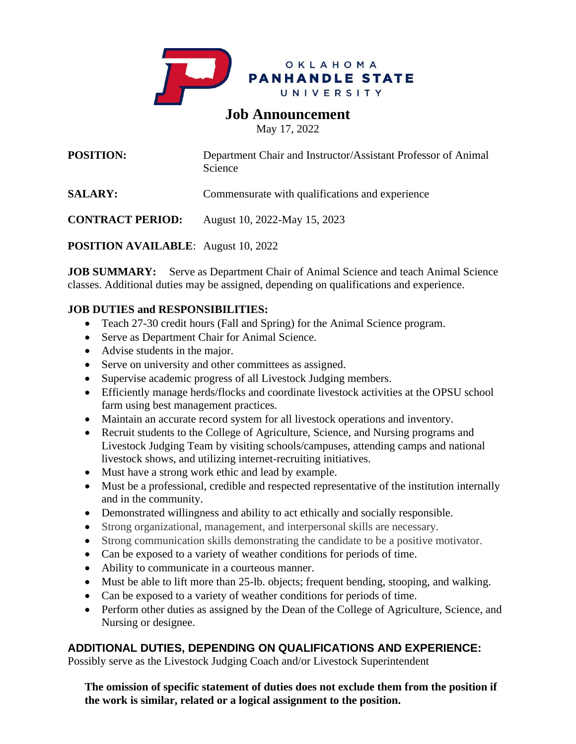

# **Job Announcement**

May 17, 2022

| <b>POSITION:</b>        | Department Chair and Instructor/Assistant Professor of Animal<br>Science |
|-------------------------|--------------------------------------------------------------------------|
| <b>SALARY:</b>          | Commensurate with qualifications and experience                          |
| <b>CONTRACT PERIOD:</b> | August 10, 2022-May 15, 2023                                             |

**POSITION AVAILABLE**: August 10, 2022

**JOB SUMMARY:** Serve as Department Chair of Animal Science and teach Animal Science classes. Additional duties may be assigned, depending on qualifications and experience.

## **JOB DUTIES and RESPONSIBILITIES:**

- Teach 27-30 credit hours (Fall and Spring) for the Animal Science program.
- Serve as Department Chair for Animal Science.
- Advise students in the major.
- Serve on university and other committees as assigned.
- Supervise academic progress of all Livestock Judging members.
- Efficiently manage herds/flocks and coordinate livestock activities at the OPSU school farm using best management practices.
- Maintain an accurate record system for all livestock operations and inventory.
- Recruit students to the College of Agriculture, Science, and Nursing programs and Livestock Judging Team by visiting schools/campuses, attending camps and national livestock shows, and utilizing internet-recruiting initiatives.
- Must have a strong work ethic and lead by example.
- Must be a professional, credible and respected representative of the institution internally and in the community.
- Demonstrated willingness and ability to act ethically and socially responsible.
- Strong organizational, management, and interpersonal skills are necessary.
- Strong communication skills demonstrating the candidate to be a positive motivator.
- Can be exposed to a variety of weather conditions for periods of time.
- Ability to communicate in a courteous manner.
- Must be able to lift more than 25-lb. objects; frequent bending, stooping, and walking.
- Can be exposed to a variety of weather conditions for periods of time.
- Perform other duties as assigned by the Dean of the College of Agriculture, Science, and Nursing or designee.

# **ADDITIONAL DUTIES, DEPENDING ON QUALIFICATIONS AND EXPERIENCE:**

Possibly serve as the Livestock Judging Coach and/or Livestock Superintendent

**The omission of specific statement of duties does not exclude them from the position if the work is similar, related or a logical assignment to the position.**